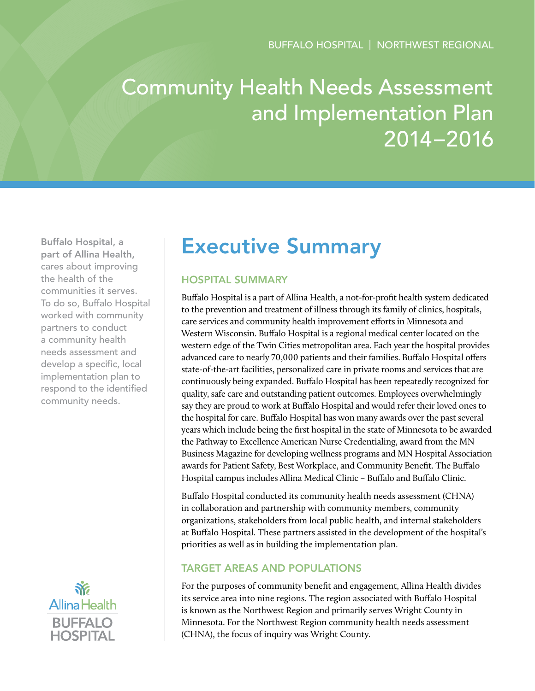# Community Health Needs Assessment and Implementation Plan 2014–2016

Buffalo Hospital, a part of Allina Health, cares about improving the health of the communities it serves. To do so, Buffalo Hospital worked with community partners to conduct a community health needs assessment and develop a specific, local implementation plan to respond to the identified community needs.



## Executive Summary

## Hospital Summary

Buffalo Hospital is a part of Allina Health, a not-for-profit health system dedicated to the prevention and treatment of illness through its family of clinics, hospitals, care services and community health improvement efforts in Minnesota and Western Wisconsin. Buffalo Hospital is a regional medical center located on the western edge of the Twin Cities metropolitan area. Each year the hospital provides advanced care to nearly 70,000 patients and their families. Buffalo Hospital offers state-of-the-art facilities, personalized care in private rooms and services that are continuously being expanded. Buffalo Hospital has been repeatedly recognized for quality, safe care and outstanding patient outcomes. Employees overwhelmingly say they are proud to work at Buffalo Hospital and would refer their loved ones to the hospital for care. Buffalo Hospital has won many awards over the past several years which include being the first hospital in the state of Minnesota to be awarded the Pathway to Excellence American Nurse Credentialing, award from the MN Business Magazine for developing wellness programs and MN Hospital Association awards for Patient Safety, Best Workplace, and Community Benefit. The Buffalo Hospital campus includes Allina Medical Clinic – Buffalo and Buffalo Clinic.

Buffalo Hospital conducted its community health needs assessment (CHNA) in collaboration and partnership with community members, community organizations, stakeholders from local public health, and internal stakeholders at Buffalo Hospital. These partners assisted in the development of the hospital's priorities as well as in building the implementation plan.

## Target Areas and Populations

For the purposes of community benefit and engagement, Allina Health divides its service area into nine regions. The region associated with Buffalo Hospital is known as the Northwest Region and primarily serves Wright County in Minnesota. For the Northwest Region community health needs assessment (CHNA), the focus of inquiry was Wright County.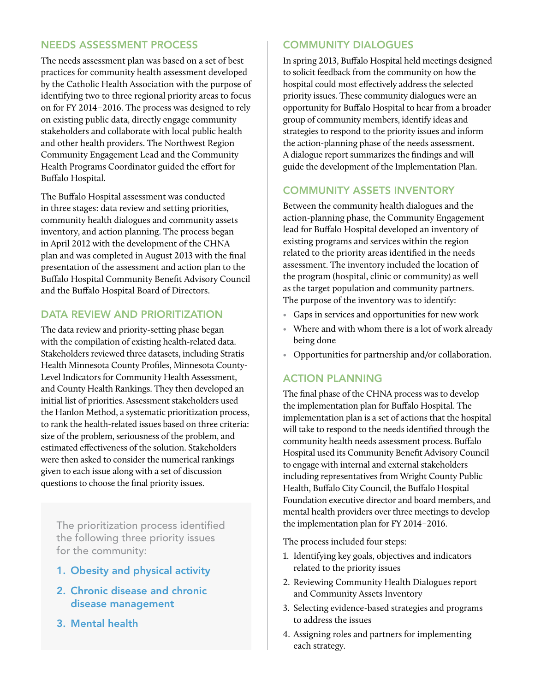## Needs Assessment Process

The needs assessment plan was based on a set of best practices for community health assessment developed by the Catholic Health Association with the purpose of identifying two to three regional priority areas to focus on for FY 2014–2016. The process was designed to rely on existing public data, directly engage community stakeholders and collaborate with local public health and other health providers. The Northwest Region Community Engagement Lead and the Community Health Programs Coordinator guided the effort for Buffalo Hospital.

The Buffalo Hospital assessment was conducted in three stages: data review and setting priorities, community health dialogues and community assets inventory, and action planning. The process began in April 2012 with the development of the CHNA plan and was completed in August 2013 with the final presentation of the assessment and action plan to the Buffalo Hospital Community Benefit Advisory Council and the Buffalo Hospital Board of Directors.

## DATA REVIEW AND PRIORITIZATION

The data review and priority-setting phase began with the compilation of existing health-related data. Stakeholders reviewed three datasets, including Stratis Health Minnesota County Profiles, Minnesota County-Level Indicators for Community Health Assessment, and County Health Rankings. They then developed an initial list of priorities. Assessment stakeholders used the Hanlon Method, a systematic prioritization process, to rank the health-related issues based on three criteria: size of the problem, seriousness of the problem, and estimated effectiveness of the solution. Stakeholders were then asked to consider the numerical rankings given to each issue along with a set of discussion questions to choose the final priority issues.

The prioritization process identified the following three priority issues for the community:

- 1. Obesity and physical activity
- 2. Chronic disease and chronic disease management
- 3. Mental health

## Community Dialogues

In spring 2013, Buffalo Hospital held meetings designed to solicit feedback from the community on how the hospital could most effectively address the selected priority issues. These community dialogues were an opportunity for Buffalo Hospital to hear from a broader group of community members, identify ideas and strategies to respond to the priority issues and inform the action-planning phase of the needs assessment. A dialogue report summarizes the findings and will guide the development of the Implementation Plan.

## Community Assets Inventory

Between the community health dialogues and the action-planning phase, the Community Engagement lead for Buffalo Hospital developed an inventory of existing programs and services within the region related to the priority areas identified in the needs assessment. The inventory included the location of the program (hospital, clinic or community) as well as the target population and community partners. The purpose of the inventory was to identify:

- Gaps in services and opportunities for new work
- Where and with whom there is a lot of work already being done
- Opportunities for partnership and/or collaboration.

## Action Planning

The final phase of the CHNA process was to develop the implementation plan for Buffalo Hospital. The implementation plan is a set of actions that the hospital will take to respond to the needs identified through the community health needs assessment process. Buffalo Hospital used its Community Benefit Advisory Council to engage with internal and external stakeholders including representatives from Wright County Public Health, Buffalo City Council, the Buffalo Hospital Foundation executive director and board members, and mental health providers over three meetings to develop the implementation plan for FY 2014–2016.

The process included four steps:

- 1. Identifying key goals, objectives and indicators related to the priority issues
- 2. Reviewing Community Health Dialogues report and Community Assets Inventory
- 3. Selecting evidence-based strategies and programs to address the issues
- 4. Assigning roles and partners for implementing each strategy.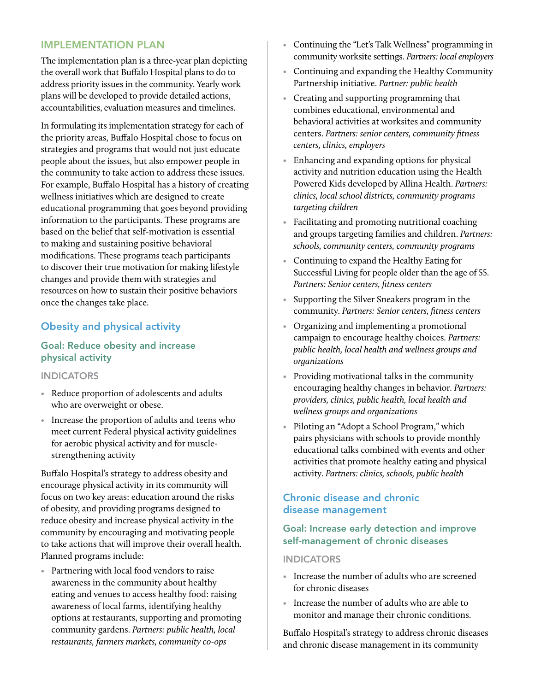## Implementation Plan

The implementation plan is a three-year plan depicting the overall work that Buffalo Hospital plans to do to address priority issues in the community. Yearly work plans will be developed to provide detailed actions, accountabilities, evaluation measures and timelines.

In formulating its implementation strategy for each of the priority areas, Buffalo Hospital chose to focus on strategies and programs that would not just educate people about the issues, but also empower people in the community to take action to address these issues. For example, Buffalo Hospital has a history of creating wellness initiatives which are designed to create educational programming that goes beyond providing information to the participants. These programs are based on the belief that self-motivation is essential to making and sustaining positive behavioral modifications. These programs teach participants to discover their true motivation for making lifestyle changes and provide them with strategies and resources on how to sustain their positive behaviors once the changes take place.

## Obesity and physical activity

## Goal: Reduce obesity and increase physical activity

#### **INDICATORS**

- Reduce proportion of adolescents and adults who are overweight or obese.
- Increase the proportion of adults and teens who meet current Federal physical activity guidelines for aerobic physical activity and for musclestrengthening activity

Buffalo Hospital's strategy to address obesity and encourage physical activity in its community will focus on two key areas: education around the risks of obesity, and providing programs designed to reduce obesity and increase physical activity in the community by encouraging and motivating people to take actions that will improve their overall health. Planned programs include:

• Partnering with local food vendors to raise awareness in the community about healthy eating and venues to access healthy food: raising awareness of local farms, identifying healthy options at restaurants, supporting and promoting community gardens. *Partners: public health, local restaurants, farmers markets, community co-ops*

- Continuing the "Let's Talk Wellness" programming in community worksite settings. *Partners: local employers*
- Continuing and expanding the Healthy Community Partnership initiative. *Partner: public health*
- Creating and supporting programming that combines educational, environmental and behavioral activities at worksites and community centers. *Partners: senior centers, community fitness centers, clinics, employers*
- Enhancing and expanding options for physical activity and nutrition education using the Health Powered Kids developed by Allina Health. *Partners: clinics, local school districts, community programs targeting children*
- Facilitating and promoting nutritional coaching and groups targeting families and children. *Partners: schools, community centers, community programs*
- Continuing to expand the Healthy Eating for Successful Living for people older than the age of 55. *Partners: Senior centers, fitness centers*
- Supporting the Silver Sneakers program in the community. *Partners: Senior centers, fitness centers*
- Organizing and implementing a promotional campaign to encourage healthy choices. *Partners: public health, local health and wellness groups and organizations*
- Providing motivational talks in the community encouraging healthy changes in behavior. *Partners: providers, clinics, public health, local health and wellness groups and organizations*
- Piloting an "Adopt a School Program," which pairs physicians with schools to provide monthly educational talks combined with events and other activities that promote healthy eating and physical activity. *Partners: clinics, schools, public health*

## Chronic disease and chronic disease management

## Goal: Increase early detection and improve self-management of chronic diseases

#### **INDICATORS**

- Increase the number of adults who are screened for chronic diseases
- Increase the number of adults who are able to monitor and manage their chronic conditions.

Buffalo Hospital's strategy to address chronic diseases and chronic disease management in its community